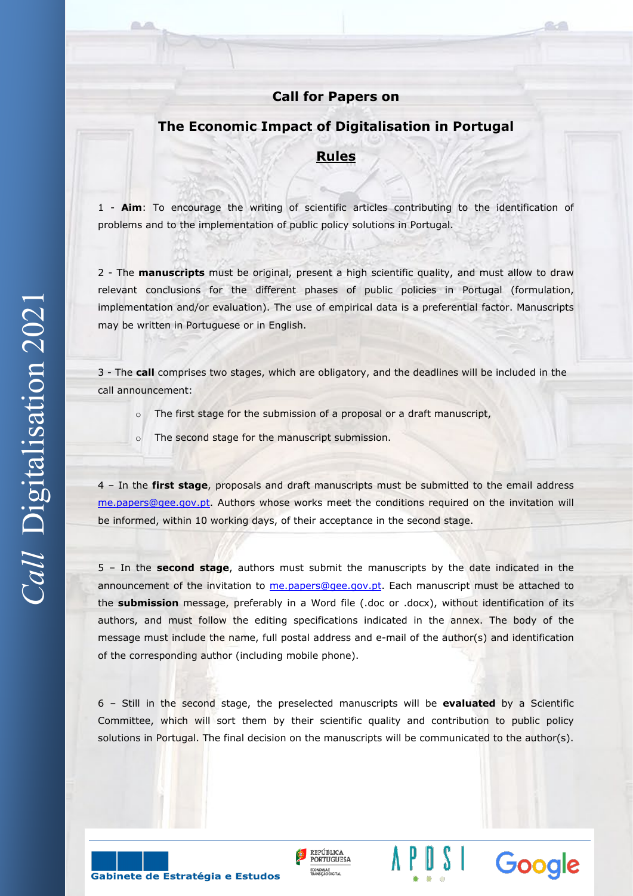## **Call for Papers on**

## **The Economic Impact of Digitalisation in Portugal**

## **Rules**

1 - **Aim**: To encourage the writing of scientific articles contributing to the identification of problems and to the implementation of public policy solutions in Portugal.

2 - The **manuscripts** must be original, present a high scientific quality, and must allow to draw relevant conclusions for the different phases of public policies in Portugal (formulation, implementation and/or evaluation). The use of empirical data is a preferential factor. Manuscripts may be written in Portuguese or in English.

3 - The **call** comprises two stages, which are obligatory, and the deadlines will be included in the call announcement:

- o The first stage for the submission of a proposal or a draft manuscript,
- o The second stage for the manuscript submission.

4 – In the **first stage**, proposals and draft manuscripts must be submitted to the email address [me.papers@gee.gov.pt.](mailto:me.papers@gee.gov.pt) Authors whose works meet the conditions required on the invitation will be informed, within 10 working days, of their acceptance in the second stage.

5 – In the **second stage**, authors must submit the manuscripts by the date indicated in the announcement of the invitation to [me.papers@gee.gov.pt.](mailto:me.papers@gee.gov.pt) Each manuscript must be attached to the **submission** message, preferably in a Word file (.doc or .docx), without identification of its authors, and must follow the editing specifications indicated in the annex. The body of the message must include the name, full postal address and e-mail of the author(s) and identification of the corresponding author (including mobile phone).

6 – Still in the second stage, the preselected manuscripts will be **evaluated** by a Scientific Committee, which will sort them by their scientific quality and contribution to public policy solutions in Portugal. The final decision on the manuscripts will be communicated to the author(s).

REPÚBLICA

**PORTUGUESA** 

Google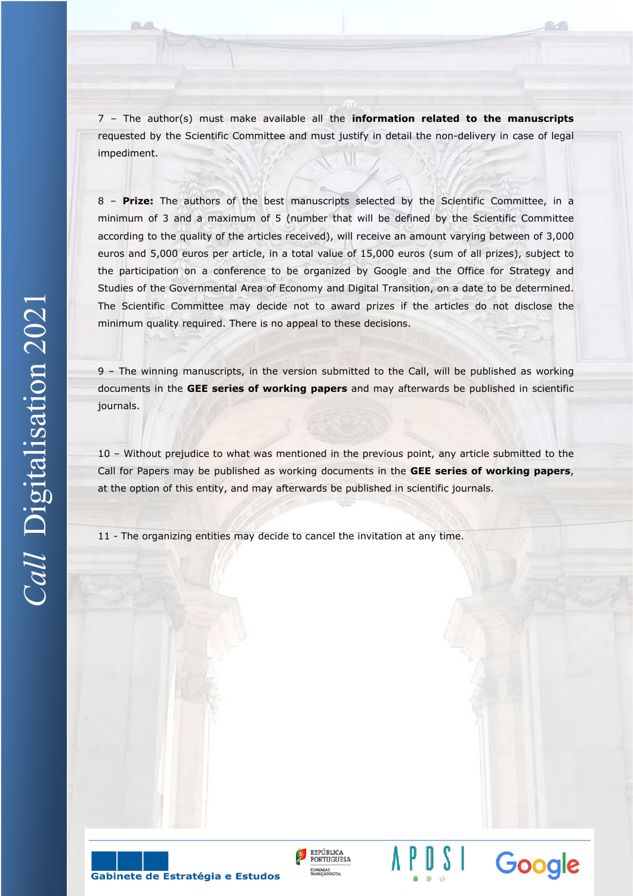7 – The author(s) must make available all the **information related to the manuscripts**  requested by the Scientific Committee and must justify in detail the non-delivery in case of legal impediment.

8 – **Prize:** The authors of the best manuscripts selected by the Scientific Committee, in a minimum of 3 and a maximum of 5 (number that will be defined by the Scientific Committee according to the quality of the articles received), will receive an amount varying between of 3,000 euros and 5,000 euros per article, in a total value of 15,000 euros (sum of all prizes), subject to the participation on a conference to be organized by Google and the Office for Strategy and Studies of the Governmental Area of Economy and Digital Transition, on a date to be determined. The Scientific Committee may decide not to award prizes if the articles do not disclose the minimum quality required. There is no appeal to these decisions.

9 – The winning manuscripts, in the version submitted to the Call, will be published as working documents in the **GEE series of working papers** and may afterwards be published in scientific journals.

10 – Without prejudice to what was mentioned in the previous point, any article submitted to the Call for Papers may be published as working documents in the **GEE series of working papers**, at the option of this entity, and may afterwards be published in scientific journals.

REPÚBLICA

**PORTUGUESA** 

Google

11 - The organizing entities may decide to cancel the invitation at any time.

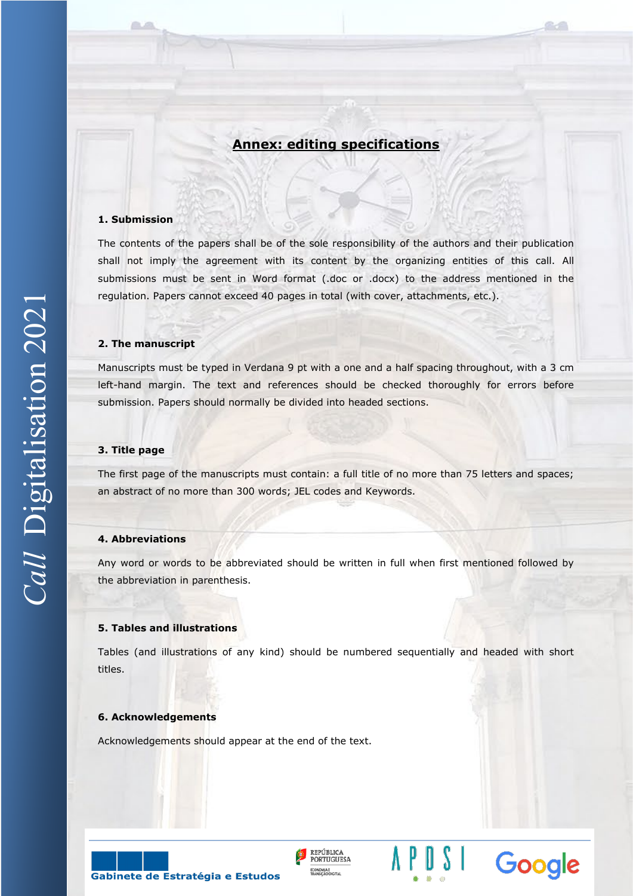# **Annex: editing specifications**

#### **1. Submission**

The contents of the papers shall be of the sole responsibility of the authors and their publication shall not imply the agreement with its content by the organizing entities of this call. All submissions must be sent in Word format (.doc or .docx) to the address mentioned in the regulation. Papers cannot exceed 40 pages in total (with cover, attachments, etc.).

#### **2. The manuscript**

Manuscripts must be typed in Verdana 9 pt with a one and a half spacing throughout, with a 3 cm left-hand margin. The text and references should be checked thoroughly for errors before submission. Papers should normally be divided into headed sections.

### **3. Title page**

The first page of the manuscripts must contain: a full title of no more than 75 letters and spaces; an abstract of no more than 300 words; JEL codes and Keywords.

#### **4. Abbreviations**

Any word or words to be abbreviated should be written in full when first mentioned followed by the abbreviation in parenthesis.

#### **5. Tables and illustrations**

Tables (and illustrations of any kind) should be numbered sequentially and headed with short titles.

REPÚBLICA

**PORTUGUESA** 

Google

#### **6. Acknowledgements**

Acknowledgements should appear at the end of the text.

Gabinete de Estratégia e Estudos